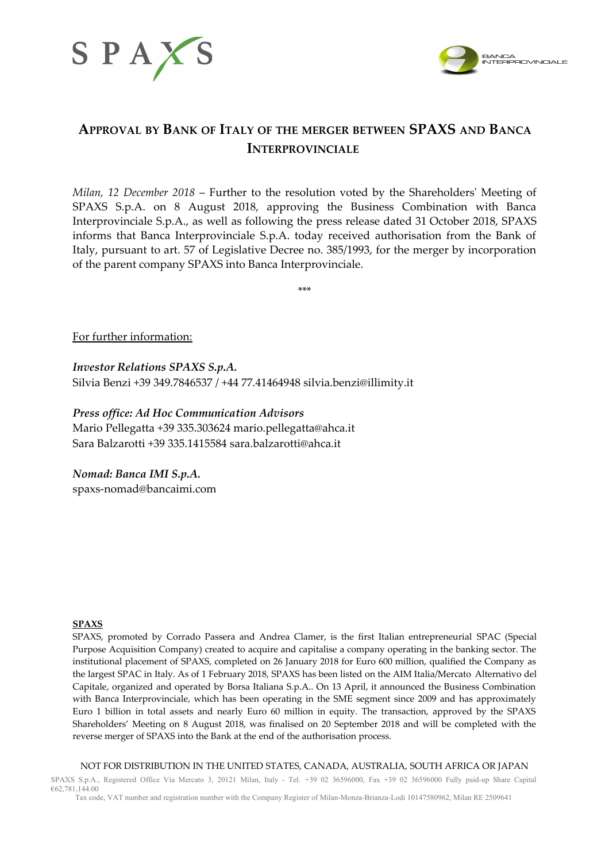



## **APPROVAL BY BANK OF ITALY OF THE MERGER BETWEEN SPAXS AND BANCA INTERPROVINCIALE**

*Milan, 12 December 2018* – Further to the resolution voted by the Shareholders' Meeting of SPAXS S.p.A. on 8 August 2018, approving the Business Combination with Banca Interprovinciale S.p.A., as well as following the press release dated 31 October 2018, SPAXS informs that Banca Interprovinciale S.p.A. today received authorisation from the Bank of Italy, pursuant to art. 57 of Legislative Decree no. 385/1993, for the merger by incorporation of the parent company SPAXS into Banca Interprovinciale.

\*\*\*

For further information:

*Investor Relations SPAXS S.p.A.* Silvia Benzi +39 349.7846537 / +44 77.41464948 [silvia.benzi@illimity.it](mailto:silvia.benzi@illimity.it)

*Press office: Ad Hoc Communication Advisors* Mario Pellegatta +39 335.303624 [mario.pellegatta@ahca.it](mailto:mario.pellegatta@ahca.it) Sara Balzarotti +39 335.1415584 [sara.balzarotti@ahca.it](mailto:sara.balzarotti@ahca.it)

*Nomad: Banca IMI S.p.A.* spaxs-nomad@bancaimi.com

## **SPAXS**

SPAXS, promoted by Corrado Passera and Andrea Clamer, is the first Italian entrepreneurial SPAC (Special Purpose Acquisition Company) created to acquire and capitalise a company operating in the banking sector. The institutional placement of SPAXS, completed on 26 January 2018 for Euro 600 million, qualified the Company as the largest SPAC in Italy. As of 1 February 2018, SPAXS has been listed on the AIM Italia/Mercato Alternativo del Capitale, organized and operated by Borsa Italiana S.p.A.. On 13 April, it announced the Business Combination with Banca Interprovinciale, which has been operating in the SME segment since 2009 and has approximately Euro 1 billion in total assets and nearly Euro 60 million in equity. The transaction, approved by the SPAXS Shareholders' Meeting on 8 August 2018, was finalised on 20 September 2018 and will be completed with the reverse merger of SPAXS into the Bank at the end of the authorisation process.

NOT FOR DISTRIBUTION IN THE UNITED STATES, CANADA, AUSTRALIA, SOUTH AFRICA OR JAPAN

SPAXS S.p.A., Registered Office Via Mercato 3, 20121 Milan, Italy - Tel. +39 02 36596000, Fax +39 02 36596000 Fully paid-up Share Capital €62,781,144.00 Tax code, VAT number and registration number with the Company Register of Milan-Monza-Brianza-Lodi 10147580962, Milan RE 2509641